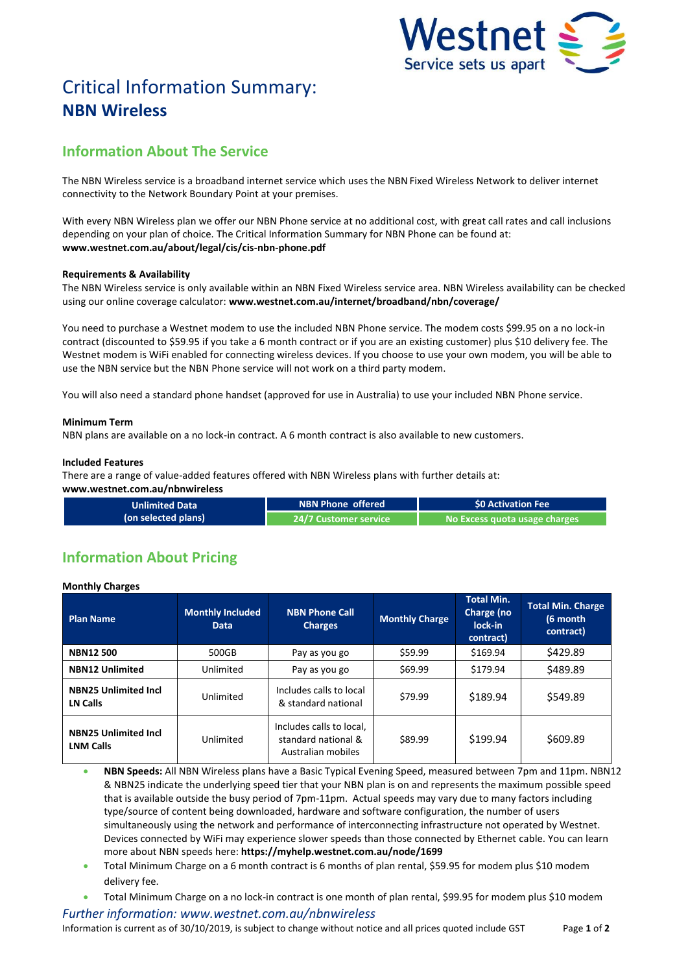

# Critical Information Summary: **NBN Wireless**

## **Information About The Service**

The NBN Wireless service is a broadband internet service which uses the NBN Fixed Wireless Network to deliver internet connectivity to the Network Boundary Point at your premises.

With every NBN Wireless plan we offer our NBN Phone service at no additional cost, with great call rates and call inclusions depending on your plan of choice. The Critical Information Summary for NBN Phone can be found at: **www.westnet.com.au/about/legal/cis/cis-nbn-phone.pdf**

### **Requirements & Availability**

The NBN Wireless service is only available within an NBN Fixed Wireless service area. NBN Wireless availability can be checked using our online coverage calculator: **www.westnet.com.au/internet/broadband/nbn/coverage/**

You need to purchase a Westnet modem to use the included NBN Phone service. The modem costs \$99.95 on a no lock-in contract (discounted to \$59.95 if you take a 6 month contract or if you are an existing customer) plus \$10 delivery fee. The Westnet modem is WiFi enabled for connecting wireless devices. If you choose to use your own modem, you will be able to use the NBN service but the NBN Phone service will not work on a third party modem.

You will also need a standard phone handset (approved for use in Australia) to use your included NBN Phone service.

### **Minimum Term**

NBN plans are available on a no lock-in contract. A 6 month contract is also available to new customers.

#### **Included Features**

There are a range of value-added features offered with NBN Wireless plans with further details at:

**www.westnet.com.au/nbnwireless**

| <b>Unlimited Data</b> | NBN Phone offered '       | <b>SO Activation Fee</b>      |  |
|-----------------------|---------------------------|-------------------------------|--|
| (on selected plans)   | l 24/7 Customer service ' | No Excess quota usage charges |  |

# **Information About Pricing**

**Monthly Charges**

| <b>Plan Name</b>                                | <b>Monthly Included</b><br><b>Data</b> | <b>NBN Phone Call</b><br><b>Charges</b>                               | <b>Monthly Charge</b> | <b>Total Min.</b><br>Charge (no<br>lock-in<br>contract) | <b>Total Min. Charge</b><br>(6 month<br>contract) |
|-------------------------------------------------|----------------------------------------|-----------------------------------------------------------------------|-----------------------|---------------------------------------------------------|---------------------------------------------------|
| <b>NBN12500</b>                                 | 500GB                                  | Pay as you go                                                         | \$59.99               | \$169.94                                                | \$429.89                                          |
| <b>NBN12 Unlimited</b>                          | Unlimited                              | Pay as you go                                                         | \$69.99               | \$179.94                                                | \$489.89                                          |
| <b>NBN25 Unlimited Incl</b><br>LN Calls         | Unlimited                              | Includes calls to local<br>& standard national                        | \$79.99               | \$189.94                                                | \$549.89                                          |
| <b>NBN25 Unlimited Incl</b><br><b>LNM Calls</b> | Unlimited                              | Includes calls to local,<br>standard national &<br>Australian mobiles | \$89.99               | \$199.94                                                | \$609.89                                          |

 **NBN Speeds:** All NBN Wireless plans have a Basic Typical Evening Speed, measured between 7pm and 11pm. NBN12 & NBN25 indicate the underlying speed tier that your NBN plan is on and represents the maximum possible speed that is available outside the busy period of 7pm-11pm. Actual speeds may vary due to many factors including type/source of content being downloaded, hardware and software configuration, the number of users simultaneously using the network and performance of interconnecting infrastructure not operated by Westnet. Devices connected by WiFi may experience slower speeds than those connected by Ethernet cable. You can learn more about NBN speeds here: **https://myhelp.westnet.com.au/node/1699**

- Total Minimum Charge on a 6 month contract is 6 months of plan rental, \$59.95 for modem plus \$10 modem delivery fee.
- Total Minimum Charge on a no lock-in contract is one month of plan rental, \$99.95 for modem plus \$10 modem

*Further information: www.westnet.com.au/nbnwireless* Information is current as of 30/10/2019, is subject to change without notice and all prices quoted include GST Page **1** of **2**